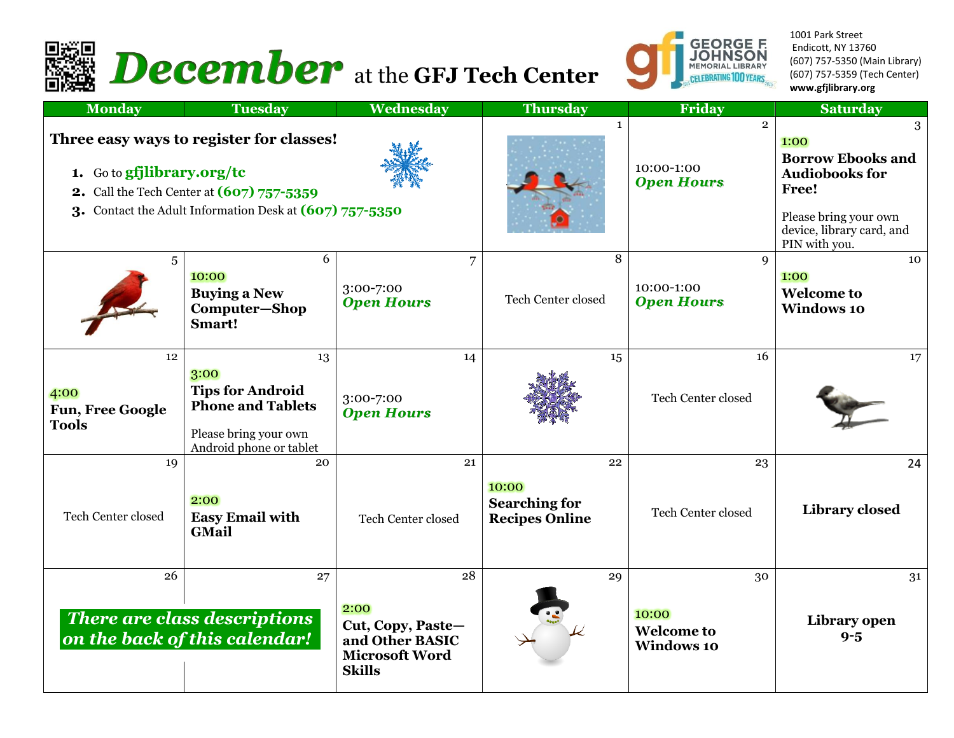